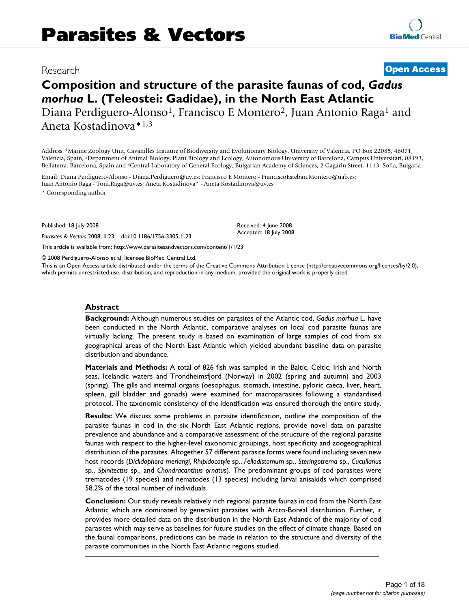# Research **Open Access**

# **Composition and structure of the parasite faunas of cod,** *Gadus morhua* **L. (Teleostei: Gadidae), in the North East Atlantic** Diana Perdiguero-Alonso<sup>1</sup>, Francisco E Montero<sup>2</sup>, Juan Antonio Raga<sup>1</sup> and Aneta Kostadinova\*1,3

Address: 1Marine Zoology Unit, Cavanilles Institute of Biodiversity and Evolutionary Biology, University of Valencia, PO Box 22085, 46071, Valencia, Spain, 2Department of Animal Biology, Plant Biology and Ecology, Autonomous University of Barcelona, Campus Universitari, 08193, Bellaterra, Barcelona, Spain and 3Central Laboratory of General Ecology, Bulgarian Academy of Sciences, 2 Gagarin Street, 1113, Sofia, Bulgaria

Email: Diana Perdiguero-Alonso - Diana.Perdiguero@uv.es; Francisco E Montero - FranciscoEsteban.Montero@uab.es; Juan Antonio Raga - Toni.Raga@uv.es; Aneta Kostadinova\* - Aneta.Kostadinova@uv.es

\* Corresponding author

Published: 18 July 2008

*Parasites & Vectors* 2008, **1**:23 doi:10.1186/1756-3305-1-23

Received: 4 June 2008 Accepted: 18 July 2008

This article is available from: http://www.parasitesandvectors.com/content/1/1/23

© 2008 Perdiguero-Alonso et al; licensee BioMed Central Ltd.

This is an Open Access article distributed under the terms of the Creative Commons Attribution License (http://creativecommons.org/licenses/by/2.0), which permits unrestricted use, distribution, and reproduction in any medium, provided the original work is properly cited.

#### **Abstract**

**Background:** Although numerous studies on parasites of the Atlantic cod, *Gadus morhua* L. have been conducted in the North Atlantic, comparative analyses on local cod parasite faunas are virtually lacking. The present study is based on examination of large samples of cod from six geographical areas of the North East Atlantic which yielded abundant baseline data on parasite distribution and abundance.

**Materials and Methods:** A total of 826 fish was sampled in the Baltic, Celtic, Irish and North seas, Icelandic waters and Trondheimsfjord (Norway) in 2002 (spring and autumn) and 2003 (spring). The gills and internal organs (oesophagus, stomach, intestine, pyloric caeca, liver, heart, spleen, gall bladder and gonads) were examined for macroparasites following a standardised protocol. The taxonomic consistency of the identification was ensured thorough the entire study.

**Results:** We discuss some problems in parasite identification, outline the composition of the parasite faunas in cod in the six North East Atlantic regions, provide novel data on parasite prevalence and abundance and a comparative assessment of the structure of the regional parasite faunas with respect to the higher-level taxonomic groupings, host specificity and zoogeographical distribution of the parasites. Altogether 57 different parasite forms were found including seven new host records (*Diclidophora merlangi*, *Rhipidocotyle* sp., *Fellodistomum* sp., *Steringotrema* sp., *Cucullanus* sp., *Spinitectus* sp., and *Chondracanthus ornatus*). The predominant groups of cod parasites were trematodes (19 species) and nematodes (13 species) including larval anisakids which comprised 58.2% of the total number of individuals.

**Conclusion:** Our study reveals relatively rich regional parasite faunas in cod from the North East Atlantic which are dominated by generalist parasites with Arcto-Boreal distribution. Further, it provides more detailed data on the distribution in the North East Atlantic of the majority of cod parasites which may serve as baselines for future studies on the effect of climate change. Based on the faunal comparisons, predictions can be made in relation to the structure and diversity of the parasite communities in the North East Atlantic regions studied.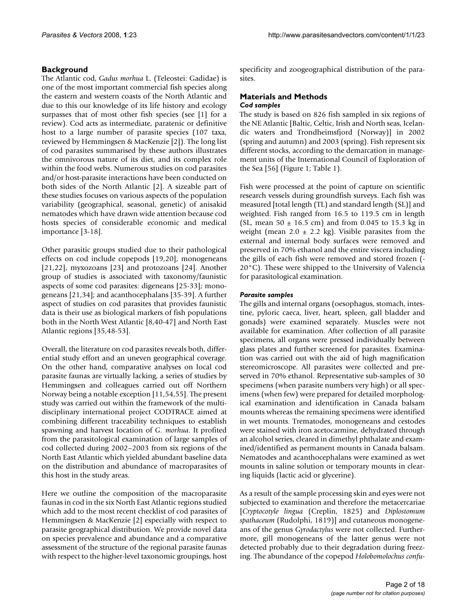# **Background**

The Atlantic cod, *Gadus morhua* L. (Teleostei: Gadidae) is one of the most important commercial fish species along the eastern and western coasts of the North Atlantic and due to this our knowledge of its life history and ecology surpasses that of most other fish species (see [1] for a review). Cod acts as intermediate, paratenic or definitive host to a large number of parasite species (107 taxa, reviewed by Hemmingsen & MacKenzie [2]). The long list of cod parasites summarised by these authors illustrates the omnivorous nature of its diet, and its complex role within the food webs. Numerous studies on cod parasites and/or host-parasite interactions have been conducted on both sides of the North Atlantic [2]. A sizeable part of these studies focuses on various aspects of the population variability (geographical, seasonal, genetic) of anisakid nematodes which have drawn wide attention because cod hosts species of considerable economic and medical importance [3-18].

Other parasitic groups studied due to their pathological effects on cod include copepods [19,20], monogeneans [21,22], myxozoans [23] and protozoans [24]. Another group of studies is associated with taxonomy/faunistic aspects of some cod parasites: digeneans [25-33]; monogeneans [21,34]; and acanthocephalans [35-39]. A further aspect of studies on cod parasites that provides faunistic data is their use as biological markers of fish populations both in the North West Atlantic [8,40-47] and North East Atlantic regions [35,48-53].

Overall, the literature on cod parasites reveals both, differential study effort and an uneven geographical coverage. On the other hand, comparative analyses on local cod parasite faunas are virtually lacking, a series of studies by Hemmingsen and colleagues carried out off Northern Norway being a notable exception [11,54,55]. The present study was carried out within the framework of the multidisciplinary international project CODTRACE aimed at combining different traceability techniques to establish spawning and harvest location of *G. morhua*. It profited from the parasitological examination of large samples of cod collected during 2002–2003 from six regions of the North East Atlantic which yielded abundant baseline data on the distribution and abundance of macroparasites of this host in the study areas.

Here we outline the composition of the macroparasite faunas in cod in the six North East Atlantic regions studied which add to the most recent checklist of cod parasites of Hemmingsen & MacKenzie [2] especially with respect to parasite geographical distribution. We provide novel data on species prevalence and abundance and a comparative assessment of the structure of the regional parasite faunas with respect to the higher-level taxonomic groupings, host specificity and zoogeographical distribution of the parasites.

#### **Materials and Methods** *Cod samples*

The study is based on 826 fish sampled in six regions of the NE Atlantic [Baltic, Celtic, Irish and North seas, Icelandic waters and Trondheimsfjord (Norway)] in 2002 (spring and autumn) and 2003 (spring). Fish represent six different stocks, according to the demarcation in management units of the International Council of Exploration of the Sea [56] (Figure 1; Table 1).

Fish were processed at the point of capture on scientific research vessels during groundfish surveys. Each fish was measured [total length (TL) and standard length (SL)] and weighted. Fish ranged from 16.5 to 119.5 cm in length (SL, mean  $50 \pm 16.5$  cm) and from 0.045 to 15.3 kg in weight (mean  $2.0 \pm 2.2$  kg). Visible parasites from the external and internal body surfaces were removed and preserved in 70% ethanol and the entire viscera including the gills of each fish were removed and stored frozen (- 20°C). These were shipped to the University of Valencia for parasitological examination.

### *Parasite samples*

The gills and internal organs (oesophagus, stomach, intestine, pyloric caeca, liver, heart, spleen, gall bladder and gonads) were examined separately. Muscles were not available for examination. After collection of all parasite specimens, all organs were pressed individually between glass plates and further screened for parasites. Examination was carried out with the aid of high magnification stereomicroscope. All parasites were collected and preserved in 70% ethanol. Representative sub-samples of 30 specimens (when parasite numbers very high) or all specimens (when few) were prepared for detailed morphological examination and identification in Canada balsam mounts whereas the remaining specimens were identified in wet mounts. Trematodes, monogeneans and cestodes were stained with iron acetocarmine, dehydrated through an alcohol series, cleared in dimethyl phthalate and examined/identified as permanent mounts in Canada balsam. Nematodes and acanthocephalans were examined as wet mounts in saline solution or temporary mounts in clearing liquids (lactic acid or glycerine).

As a result of the sample processing skin and eyes were not subjected to examination and therefore the metacercariae [*Cryptocotyle lingua* (Creplin, 1825) and *Diplostomum spathaceum* (Rudolphi, 1819)] and cutaneous monogeneans of the genus *Gyrodactylus* were not collected. Furthermore, gill monogeneans of the latter genus were not detected probably due to their degradation during freezing. The abundance of the copepod *Holobomolochus confu-*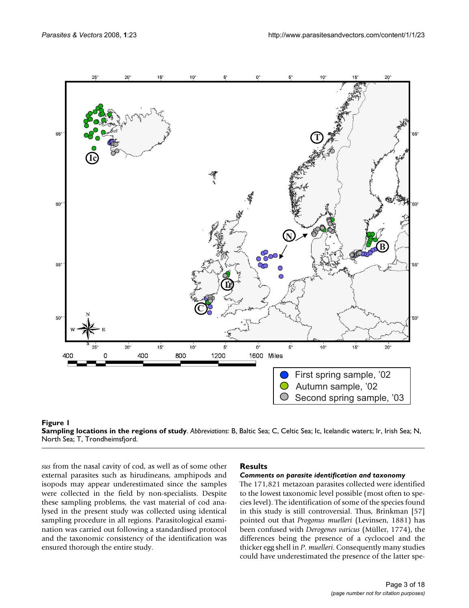



*sus* from the nasal cavity of cod, as well as of some other external parasites such as hirudineans, amphipods and isopods may appear underestimated since the samples were collected in the field by non-specialists. Despite these sampling problems, the vast material of cod analysed in the present study was collected using identical sampling procedure in all regions. Parasitological examination was carried out following a standardised protocol and the taxonomic consistency of the identification was ensured thorough the entire study.

#### **Results**

#### *Comments on parasite identification and taxonomy*

The 171,821 metazoan parasites collected were identified to the lowest taxonomic level possible (most often to species level). The identification of some of the species found in this study is still controversial. Thus, Brinkman [57] pointed out that *Progonus muelleri* (Levinsen, 1881) has been confused with *Derogenes varicus* (Müller, 1774), the differences being the presence of a cyclocoel and the thicker egg shell in *P. muelleri*. Consequently many studies could have underestimated the presence of the latter spe-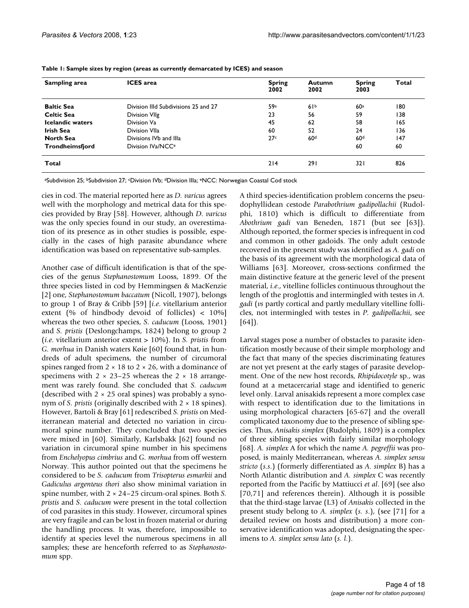| Sampling area           | <b>ICES</b> area                     | <b>Spring</b><br>2002 | <b>Autumn</b><br>2002 | <b>Spring</b><br>2003 | Total |
|-------------------------|--------------------------------------|-----------------------|-----------------------|-----------------------|-------|
| <b>Baltic Sea</b>       | Division IIId Subdivisions 25 and 27 | 59a                   | 61 <sup>b</sup>       | 60 <sup>a</sup>       | 180   |
| <b>Celtic Sea</b>       | Division VIIg                        | 23                    | 56                    | 59                    | 138   |
| <b>Icelandic waters</b> | Division Va                          | 45                    | 62                    | 58                    | 165   |
| Irish Sea               | Division VIIa                        | 60                    | 52                    | 24                    | 136   |
| <b>North Sea</b>        | Divisions IVb and IIIa               | 27c                   | 60 <sup>d</sup>       | 60 <sup>d</sup>       | 147   |
| Trondheimsfjord         | Division IVa/NCC <sup>e</sup>        |                       |                       | 60                    | 60    |
| Total                   |                                      | 214                   | 291                   | 32 I                  | 826   |

**Table 1: Sample sizes by region (areas as currently demarcated by ICES) and season**

aSubdivision 25; <sup>b</sup>Subdivision 27; <sup>c</sup>Division IVb; <sup>d</sup>Division IIIa; <sup>e</sup>NCC: Norwegian Coastal Cod stock

cies in cod. The material reported here as *D. varicus* agrees well with the morphology and metrical data for this species provided by Bray [58]. However, although *D. varicus* was the only species found in our study, an overestimation of its presence as in other studies is possible, especially in the cases of high parasite abundance where identification was based on representative sub-samples.

Another case of difficult identification is that of the species of the genus *Stephanostomum* Looss, 1899. Of the three species listed in cod by Hemmingsen & MacKenzie [2] one, *Stephanostomum baccatum* (Nicoll, 1907), belongs to group 1 of Bray & Cribb [59] [*i.e*. vitellarium anterior extent (% of hindbody devoid of follicles) < 10%] whereas the two other species, *S. caducum* (Looss, 1901) and *S. pristis* (Deslongchamps, 1824) belong to group 2 (*i.e*. vitellarium anterior extent > 10%). In *S. pristis* from *G. morhua* in Danish waters Køie [60] found that, in hundreds of adult specimens, the number of circumoral spines ranged from  $2 \times 18$  to  $2 \times 26$ , with a dominance of specimens with  $2 \times 23-25$  whereas the  $2 \times 18$  arrangement was rarely found. She concluded that *S. caducum* (described with  $2 \times 25$  oral spines) was probably a synonym of *S. pristis* (originally described with  $2 \times 18$  spines). However, Bartoli & Bray [61] redescribed *S. pristis* on Mediterranean material and detected no variation in circumoral spine number. They concluded that two species were mixed in [60]. Similarly, Karlsbakk [62] found no variation in circumoral spine number in his specimens from *Enchelyopus cimbrius* and *G. morhua* from off western Norway. This author pointed out that the specimens he considered to be *S. caducum* from *Trisopterus esmarkii* and *Gadiculus argenteus thori* also show minimal variation in spine number, with 2 × 24–25 circum-oral spines. Both *S. pristis* and *S. caducum* were present in the total collection of cod parasites in this study. However, circumoral spines are very fragile and can be lost in frozen material or during the handling process. It was, therefore, impossible to identify at species level the numerous specimens in all samples; these are henceforth referred to as *Stephanostomum* spp.

A third species-identification problem concerns the pseudophyllidean cestode *Parabothrium gadipollachii* (Rudolphi, 1810) which is difficult to differentiate from *Abothrium gadi* van Beneden, 1871 (but see [63]). Although reported, the former species is infrequent in cod and common in other gadoids. The only adult cestode recovered in the present study was identified as *A. gadi* on the basis of its agreement with the morphological data of Williams [63]. Moreover, cross-sections confirmed the main distinctive feature at the generic level of the present material, *i.e*., vitelline follicles continuous throughout the length of the proglottis and intermingled with testes in *A. gadi* (*vs* partly cortical and partly medullary vitelline follicles, not intermingled with testes in *P. gadipollachii*, see [64]).

Larval stages pose a number of obstacles to parasite identification mostly because of their simple morphology and the fact that many of the species discriminating features are not yet present at the early stages of parasite development. One of the new host records, *Rhipidocotyle* sp., was found at a metacercarial stage and identified to generic level only. Larval anisakids represent a more complex case with respect to identification due to the limitations in using morphological characters [65-67] and the overall complicated taxonomy due to the presence of sibling species. Thus, *Anisakis simplex* (Rudolphi, 1809) is a complex of three sibling species with fairly similar morphology [68]. *A. simplex* A for which the name *A. pegreffii* was proposed, is mainly Mediterranean, whereas *A. simplex sensu stricto* (*s.s*.) (formerly differentiated as *A. simplex* B) has a North Atlantic distribution and *A. simplex* C was recently reported from the Pacific by Mattiucci *et al*. [69] (see also [70,71] and references therein). Although it is possible that the third-stage larvae (L3) of *Anisakis* collected in the present study belong to *A. simplex* (*s. s*.), (see [71] for a detailed review on hosts and distribution) a more conservative identification was adopted, designating the specimens to *A. simplex sensu lato* (*s. l*.).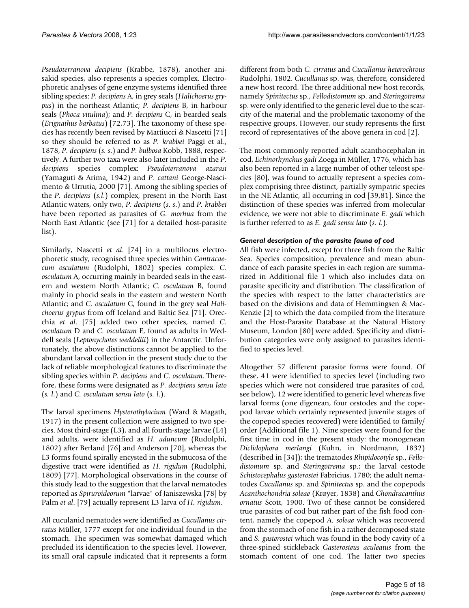*Pseudoterranova decipiens* (Krabbe, 1878), another anisakid species, also represents a species complex. Electrophoretic analyses of gene enzyme systems identified three sibling species: *P. decipiens* A, in grey seals (*Halichoerus grypus*) in the northeast Atlantic; *P. decipiens* B, in harbour seals (*Phoca vitulina*); and *P. decipiens* C, in bearded seals (*Erignathus barbatus*) [72,73]. The taxonomy of these species has recently been revised by Mattiucci & Nascetti [71] so they should be referred to as *P. krabbei* Paggi et al., 1878, *P. decipiens* (*s. s*.) and *P. bulbosa* Kobb, 1888, respectively. A further two taxa were also later included in the *P. decipiens* species complex: *Pseudoterranova azarasi* (Yamaguti & Arima, 1942) and *P. cattani* George-Nascimento & Urrutia, 2000 [71]. Among the sibling species of the *P. decipiens* (*s.l*.) complex, present in the North East Atlantic waters, only two, *P. decipiens* (*s. s*.) and *P. krabbei* have been reported as parasites of *G. morhua* from the North East Atlantic (see [71] for a detailed host-parasite list).

Similarly, Nascetti *et al*. [74] in a multilocus electrophoretic study, recognised three species within *Contracaecum osculatum* (Rudolphi, 1802) species complex: *C. osculatum* A, occurring mainly in bearded seals in the eastern and western North Atlantic; *C. osculatum* B, found mainly in phocid seals in the eastern and western North Atlantic; and *C. osculatum* C, found in the grey seal *Halichoerus grypus* from off Iceland and Baltic Sea [71]. Orecchia *et al*. [75] added two other species, named *C. osculatum* D and *C. osculatum* E, found as adults in Weddell seals (*Leptonychotes weddellii*) in the Antarctic. Unfortunately, the above distinctions cannot be applied to the abundant larval collection in the present study due to the lack of reliable morphological features to discriminate the sibling species within *P. decipiens* and *C. osculatum*. Therefore, these forms were designated as *P. decipiens sensu lato* (*s. l*.) and *C. osculatum sensu lato* (*s. l*.).

The larval specimens *Hysterothylacium* (Ward & Magath, 1917) in the present collection were assigned to two species. Most third-stage (L3), and all fourth-stage larvae (L4) and adults, were identified as *H. aduncum* (Rudolphi, 1802) after Berland [76] and Anderson [70], whereas the L3 forms found spirally encysted in the submucosa of the digestive tract were identified as *H. rigidum* (Rudolphi, 1809) [77]. Morphological observations in the course of this study lead to the suggestion that the larval nematodes reported as *Spiruroideorum* "larvae" of Janiszewska [78] by Palm *et al*. [79] actually represent L3 larva of *H. rigidum*.

All cuculanid nematodes were identified as *Cucullanus cirratus* Müller, 1777 except for one individual found in the stomach. The specimen was somewhat damaged which precluded its identification to the species level. However, its small oral capsule indicated that it represents a form

different from both *C. cirratus* and *Cucullanus heterochrous* Rudolphi, 1802. *Cucullanus* sp. was, therefore, considered a new host record. The three additional new host records, namely *Spinitectus* sp., *Fellodistomum* sp. and *Steringotrema* sp. were only identified to the generic level due to the scarcity of the material and the problematic taxonomy of the respective groups. However, our study represents the first record of representatives of the above genera in cod [2].

The most commonly reported adult acanthocephalan in cod, *Echinorhynchus gadi* Zoega in Müller, 1776, which has also been reported in a large number of other teleost species [80], was found to actually represent a species complex comprising three distinct, partially sympatric species in the NE Atlantic, all occurring in cod [39,81]. Since the distinction of these species was inferred from molecular evidence, we were not able to discriminate *E. gadi* which is further referred to as *E. gadi sensu lato* (*s. l*.).

# *General description of the parasite fauna of cod*

All fish were infected, except for three fish from the Baltic Sea. Species composition, prevalence and mean abundance of each parasite species in each region are summarized in Additional file 1 which also includes data on parasite specificity and distribution. The classification of the species with respect to the latter characteristics are based on the divisions and data of Hemmingsen & Mac-Kenzie [2] to which the data compiled from the literature and the Host-Parasite Database at the Natural History Museum, London [80] were added. Specificity and distribution categories were only assigned to parasites identified to species level.

Altogether 57 different parasite forms were found. Of these, 41 were identified to species level (including two species which were not considered true parasites of cod, see below), 12 were identified to generic level whereas five larval forms (one digenean, four cestodes and the copepod larvae which certainly represented juvenile stages of the copepod species recovered) were identified to family/ order (Additional file 1). Nine species were found for the first time in cod in the present study: the monogenean *Diclidophora merlangi* (Kuhn, in Nordmann, 1832) (described in [34]); the trematodes *Rhipidocotyle* sp., *Fellodistomum* sp. and *Steringotrema* sp.; the larval cestode *Schistocephalus gasterostei* Fabricius, 1780; the adult nematodes *Cucullanus* sp. and *Spinitectus* sp. and the copepods *Acanthochondria soleae* (Krøyer, 1838) and *Chondracanthus ornatus* Scott, 1900. Two of these cannot be considered true parasites of cod but rather part of the fish food content, namely the copepod *A. soleae* which was recovered from the stomach of one fish in a rather decomposed state and *S. gasterostei* which was found in the body cavity of a three-spined stickleback *Gasterosteus aculeatus* from the stomach content of one cod. The latter two species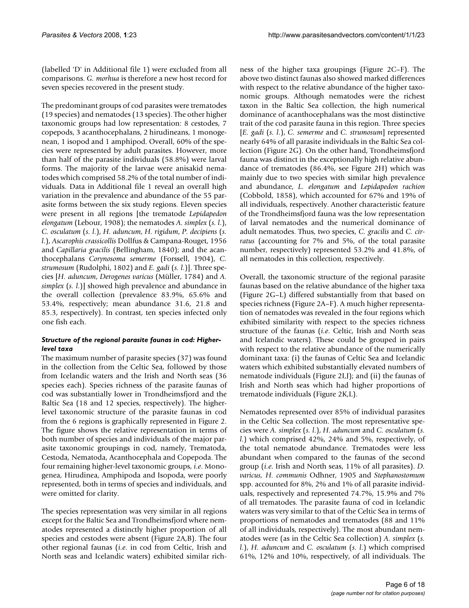(labelled 'D' in Additional file 1) were excluded from all comparisons. *G. morhua* is therefore a new host record for seven species recovered in the present study.

The predominant groups of cod parasites were trematodes (19 species) and nematodes (13 species). The other higher taxonomic groups had low representation: 8 cestodes, 7 copepods, 3 acanthocephalans, 2 hirudineans, 1 monogenean, 1 isopod and 1 amphipod. Overall, 60% of the species were represented by adult parasites. However, more than half of the parasite individuals (58.8%) were larval forms. The majority of the larvae were anisakid nematodes which comprised 58.2% of the total number of individuals. Data in Additional file 1 reveal an overall high variation in the prevalence and abundance of the 55 parasite forms between the six study regions. Eleven species were present in all regions [the trematode *Lepidapedon elongatum* (Lebour, 1908); the nematodes *A. simplex* (*s. l*.), *C. osculatum* (*s. l*.), *H. aduncum*, *H. rigidum*, *P. decipiens* (*s. l*.), *Ascarophis crassicollis* Dollfus & Campana-Rouget, 1956 and *Capillaria gracilis* (Bellingham, 1840); and the acanthocephalans *Corynosoma semerme* (Forssell, 1904), *C. strumosum* (Rudolphi, 1802) and *E. gadi* (*s. l*.)]. Three species [*H. aduncum*, *Derogenes varicus* (Müller, 1784) and *A. simplex* (*s. l*.)] showed high prevalence and abundance in the overall collection (prevalence 83.9%, 65.6% and 53.4%, respectively; mean abundance 31.6, 21.8 and 85.3, respectively). In contrast, ten species infected only one fish each.

### *Structure of the regional parasite faunas in cod: Higherlevel taxa*

The maximum number of parasite species (37) was found in the collection from the Celtic Sea, followed by those from Icelandic waters and the Irish and North seas (36 species each). Species richness of the parasite faunas of cod was substantially lower in Trondheimsfjord and the Baltic Sea (18 and 12 species, respectively). The higherlevel taxonomic structure of the parasite faunas in cod from the 6 regions is graphically represented in Figure 2. The figure shows the relative representation in terms of both number of species and individuals of the major parasite taxonomic groupings in cod, namely, Trematoda, Cestoda, Nematoda, Acanthocephala and Copepoda. The four remaining higher-level taxonomic groups, *i.e*. Monogenea, Hirudinea, Amphipoda and Isopoda, were poorly represented, both in terms of species and individuals, and were omitted for clarity.

The species representation was very similar in all regions except for the Baltic Sea and Trondheimsfjord where nematodes represented a distinctly higher proportion of all species and cestodes were absent (Figure 2A,B). The four other regional faunas (*i.e*. in cod from Celtic, Irish and North seas and Icelandic waters) exhibited similar richness of the higher taxa groupings (Figure 2C–F). The above two distinct faunas also showed marked differences with respect to the relative abundance of the higher taxonomic groups. Although nematodes were the richest taxon in the Baltic Sea collection, the high numerical dominance of acanthocephalans was the most distinctive trait of the cod parasite fauna in this region. Three species [*E. gadi* (*s. l*.), *C. semerme* and *C. strumosum*] represented nearly 64% of all parasite individuals in the Baltic Sea collection (Figure 2G). On the other hand, Trondheimsfjord fauna was distinct in the exceptionally high relative abundance of trematodes (86.4%, see Figure 2H) which was mainly due to two species with similar high prevalence and abundance, *L. elongatum* and *Lepidapedon rachion* (Cobbold, 1858), which accounted for 67% and 19% of all individuals, respectively. Another characteristic feature of the Trondheimsfjord fauna was the low representation of larval nematodes and the numerical dominance of adult nematodes. Thus, two species, *C. gracilis* and *C. cirratus* (accounting for 7% and 5%, of the total parasite number, respectively) represented 53.2% and 41.8%, of all nematodes in this collection, respectively.

Overall, the taxonomic structure of the regional parasite faunas based on the relative abundance of the higher taxa (Figure 2G–L) differed substantially from that based on species richness (Figure 2A–F). A much higher representation of nematodes was revealed in the four regions which exhibited similarity with respect to the species richness structure of the faunas (*i.e*. Celtic, Irish and North seas and Icelandic waters). These could be grouped in pairs with respect to the relative abundance of the numerically dominant taxa: (i) the faunas of Celtic Sea and Icelandic waters which exhibited substantially elevated numbers of nematode individuals (Figure 2I,J); and (ii) the faunas of Irish and North seas which had higher proportions of trematode individuals (Figure 2K,L).

Nematodes represented over 85% of individual parasites in the Celtic Sea collection. The most representative species were *A. simplex* (*s. l*.), *H. aduncum* and *C. osculatum* (*s. l*.) which comprised 42%, 24% and 5%, respectively, of the total nematode abundance. Trematodes were less abundant when compared to the faunas of the second group (*i.e*. Irish and North seas, 11% of all parasites). *D. varicus, H. communis* Odhner, 1905 and *Stephanostomum* spp. accounted for 8%, 2% and 1% of all parasite individuals, respectively and represented 74.7%, 15.9% and 7% of all trematodes. The parasite fauna of cod in Icelandic waters was very similar to that of the Celtic Sea in terms of proportions of nematodes and trematodes (88 and 11% of all individuals, respectively). The most abundant nematodes were (as in the Celtic Sea collection) *A. simplex* (*s. l*.), *H. aduncum* and *C. osculatum* (*s. l*.) which comprised 61%, 12% and 10%, respectively, of all individuals. The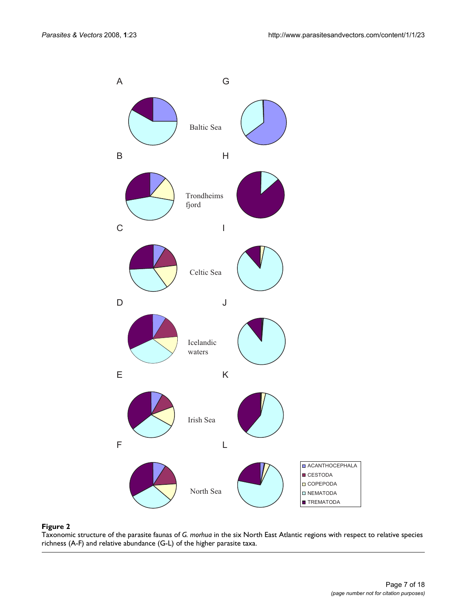

Taxonomic structure of the parasite faunas of *G. morhua* in the six North East Atlantic regions with respect to relative species richness (A-F) and relative abundance (G-L) of the higher parasite taxa.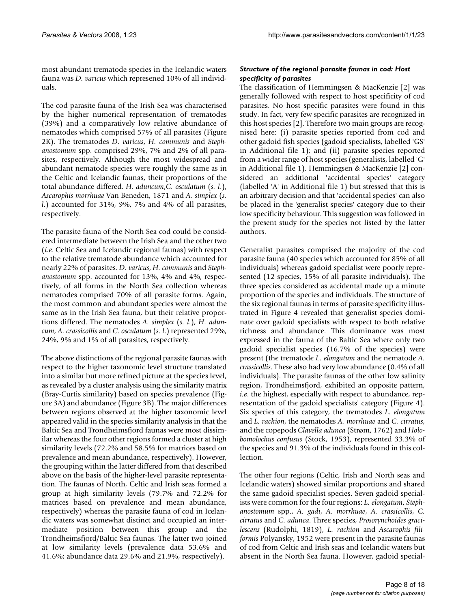most abundant trematode species in the Icelandic waters fauna was *D. varicus* which represened 10% of all individuals.

The cod parasite fauna of the Irish Sea was characterised by the higher numerical representation of trematodes (39%) and a comparatively low relative abundance of nematodes which comprised 57% of all parasites (Figure 2K). The trematodes *D. varicus*, *H. communis* and *Stephanostomum* spp. comprised 29%, 7% and 2% of all parasites, respectively. Although the most widespread and abundant nematode species were roughly the same as in the Celtic and Icelandic faunas, their proportions of the total abundance differed. *H. aduncum*,*C. osculatum* (*s. l*.), *Ascarophis morrhuae* Van Beneden, 1871 and *A. simplex* (*s. l*.) accounted for 31%, 9%, 7% and 4% of all parasites, respectively.

The parasite fauna of the North Sea cod could be considered intermediate between the Irish Sea and the other two (*i.e*. Celtic Sea and Icelandic regional faunas) with respect to the relative trematode abundance which accounted for nearly 22% of parasites. *D. varicus*, *H. communis* and *Stephanostomum* spp. accounted for 13%, 4% and 4%, respectively, of all forms in the North Sea collection whereas nematodes comprised 70% of all parasite forms. Again, the most common and abundant species were almost the same as in the Irish Sea fauna, but their relative proportions differed. The nematodes *A. simplex* (*s. l*.), *H. aduncum*, *A. crassicollis* and *C. osculatum* (*s. l*.) represented 29%, 24%, 9% and 1% of all parasites, respectively.

The above distinctions of the regional parasite faunas with respect to the higher taxonomic level structure translated into a similar but more refined picture at the species level, as revealed by a cluster analysis using the similarity matrix (Bray-Curtis similarity) based on species prevalence (Figure 3A) and abundance (Figure 3B). The major differences between regions observed at the higher taxonomic level appeared valid in the species similarity analysis in that the Baltic Sea and Trondheimsfjord faunas were most dissimilar whereas the four other regions formed a cluster at high similarity levels (72.2% and 58.5% for matrices based on prevalence and mean abundance, respectively). However, the grouping within the latter differed from that described above on the basis of the higher-level parasite representation. The faunas of North, Celtic and Irish seas formed a group at high similarity levels (79.7% and 72.2% for matrices based on prevalence and mean abundance, respectively) whereas the parasite fauna of cod in Icelandic waters was somewhat distinct and occupied an intermediate position between this group and the Trondheimsfjord/Baltic Sea faunas. The latter two joined at low similarity levels (prevalence data 53.6% and 41.6%; abundance data 29.6% and 21.9%, respectively).

### *Structure of the regional parasite faunas in cod: Host specificity of parasites*

The classification of Hemmingsen & MacKenzie [2] was generally followed with respect to host specificity of cod parasites. No host specific parasites were found in this study. In fact, very few specific parasites are recognized in this host species [2]. Therefore two main groups are recognised here: (i) parasite species reported from cod and other gadoid fish species (gadoid specialists, labelled 'GS' in Additional file 1); and (ii) parasite species reported from a wider range of host species (generalists, labelled 'G' in Additional file 1). Hemmingsen & MacKenzie [2] considered an additional 'accidental species' category (labelled 'A' in Additional file 1) but stressed that this is an arbitrary decision and that 'accidental species' can also be placed in the 'generalist species' category due to their low specificity behaviour. This suggestion was followed in the present study for the species not listed by the latter authors.

Generalist parasites comprised the majority of the cod parasite fauna (40 species which accounted for 85% of all individuals) whereas gadoid specialist were poorly represented (12 species, 15% of all parasite individuals). The three species considered as accidental made up a minute proportion of the species and individuals. The structure of the six regional faunas in terms of parasite specificity illustrated in Figure 4 revealed that generalist species dominate over gadoid specialists with respect to both relative richness and abundance. This dominance was most expressed in the fauna of the Baltic Sea where only two gadoid specialist species (16.7% of the species) were present (the trematode *L. elongatum* and the nematode *A. crassicollis*. These also had very low abundance (0.4% of all individuals). The parasite faunas of the other low salinity region, Trondheimsfjord, exhibited an opposite pattern, *i.e*. the highest, especially with respect to abundance, representation of the gadoid specialists' category (Figure 4). Six species of this category, the trematodes *L. elongatum* and *L. rachion*, the nematodes *A. morrhuae* and *C. cirratus*, and the copepods *Clavella adunca* (Strøm, 1762) and *Holobomolochus confusus* (Stock, 1953), represented 33.3% of the species and 91.3% of the individuals found in this collection.

The other four regions (Celtic, Irish and North seas and Icelandic waters) showed similar proportions and shared the same gadoid specialist species. Seven gadoid specialists were common for the four regions: *L. elongatum*, *Stephanostomum* spp., *A. gadi*, *A. morrhuae*, *A. crassicollis*, *C. cirratus* and *C. adunca*. Three species, *Prosorynchoides gracilescens* (Rudolphi, 1819), *L. rachion* and *Ascarophis filiformis* Polyansky, 1952 were present in the parasite faunas of cod from Celtic and Irish seas and Icelandic waters but absent in the North Sea fauna. However, gadoid special-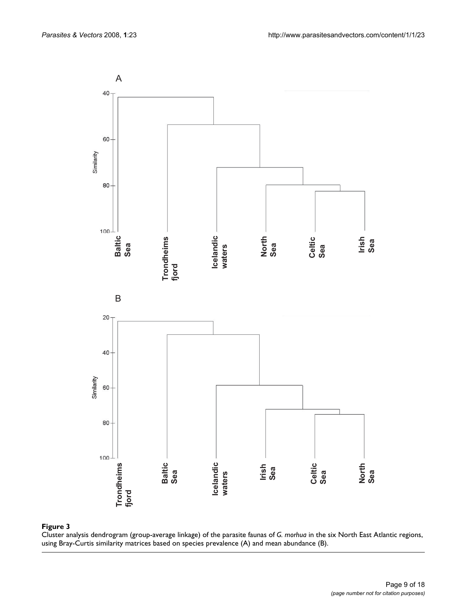

Cluster analysis dendrogram (group-average linkage) of the parasite faunas of *G. morhua* in the six North East Atlantic regions, using Bray-Curtis similarity matrices based on species prevalence (A) and mean abundance (B).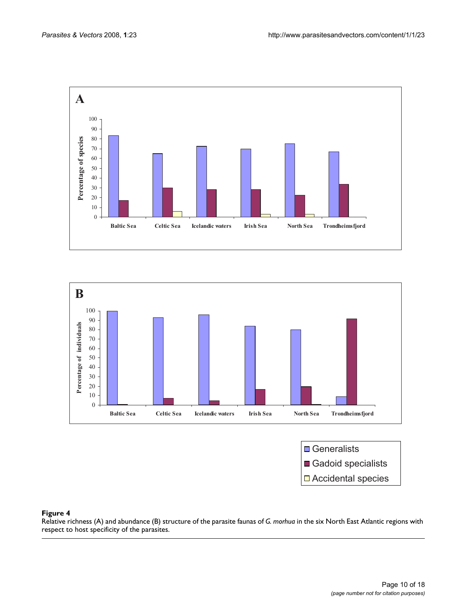



**□** Generalists Gadoid specialists □ Accidental species

### Relative richness (A) and abundance (B) str respect to host specificity of the parasites **Figure 4** ucture of the parasite faunas of *G. morhua* in the six North East Atlantic regions with

Relative richness (A) and abundance (B) structure of the parasite faunas of *G. morhua* in the six North East Atlantic regions with respect to host specificity of the parasites.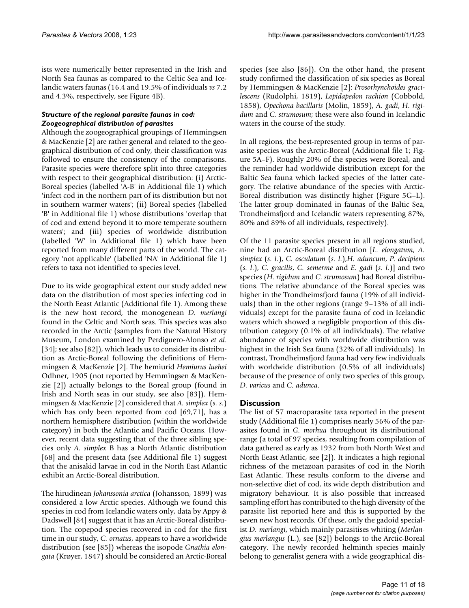ists were numerically better represented in the Irish and North Sea faunas as compared to the Celtic Sea and Icelandic waters faunas (16.4 and 19.5% of individuals *vs* 7.2 and 4.3%, respectively, see Figure 4B).

#### *Structure of the regional parasite faunas in cod: Zoogeographical distribution of parasites*

Although the zoogeographical groupings of Hemmingsen & MacKenzie [2] are rather general and related to the geographical distribution of cod only, their classification was followed to ensure the consistency of the comparisons. Parasite species were therefore split into three categories with respect to their geographical distribution: (i) Arctic-Boreal species (labelled 'A-B' in Additional file 1) which 'infect cod in the northern part of its distribution but not in southern warmer waters'; (ii) Boreal species (labelled 'B' in Additional file 1) whose distributions 'overlap that of cod and extend beyond it to more temperate southern waters'; and (iii) species of worldwide distribution (labelled 'W' in Additional file 1) which have been reported from many different parts of the world. The category 'not applicable' (labelled 'NA' in Additional file 1) refers to taxa not identified to species level.

Due to its wide geographical extent our study added new data on the distribution of most species infecting cod in the North Eeast Atlantic (Additional file 1). Among these is the new host record, the monogenean *D. merlangi* found in the Celtic and North seas. This species was also recorded in the Arctic (samples from the Natural History Museum, London examined by Perdiguero-Alonso *et al*. [34]; see also [82]), which leads us to consider its distribution as Arctic-Boreal following the definitions of Hemmingsen & MacKenzie [2]. The hemiurid *Hemiurus luehei* Odhner, 1905 (not reported by Hemmingsen & MacKenzie [2]) actually belongs to the Boreal group (found in Irish and North seas in our study, see also [83]). Hemmingsen & MacKenzie [2] considered that *A. simplex* (*s. s*.) which has only been reported from cod [69,71], has a northern hemisphere distribution (within the worldwide category) in both the Atlantic and Pacific Oceans. However, recent data suggesting that of the three sibling species only *A. simplex* B has a North Atlantic distribution [68] and the present data (see Additional file 1) suggest that the anisakid larvae in cod in the North East Atlantic exhibit an Arctic-Boreal distribution.

The hirudinean *Johanssonia arctica* (Johansson, 1899) was considered a low Arctic species. Although we found this species in cod from Icelandic waters only, data by Appy & Dadswell [84] suggest that it has an Arctic-Boreal distribution. The copepod species recovered in cod for the first time in our study, *C. ornatus*, appears to have a worldwide distribution (see [85]) whereas the isopode *Gnathia elongata* (Krøyer, 1847) should be considered an Arctic-Boreal

species (see also [86]). On the other hand, the present study confirmed the classification of six species as Boreal by Hemmingsen & MacKenzie [2]: *Prosorhynchoides gracilescens* (Rudolphi, 1819), *Lepidapedon rachion* (Cobbold, 1858), *Opechona bacillaris* (Molin, 1859), *A. gadi*, *H. rigidum* and *C. strumosum*; these were also found in Icelandic waters in the course of the study.

In all regions, the best-represented group in terms of parasite species was the Arctic-Boreal (Additional file 1; Figure 5A–F). Roughly 20% of the species were Boreal, and the reminder had worldwide distribution except for the Baltic Sea fauna which lacked species of the latter category. The relative abundance of the species with Arctic-Boreal distribution was distinctly higher (Figure 5G–L). The latter group dominated in faunas of the Baltic Sea, Trondheimsfjord and Icelandic waters representing 87%, 80% and 89% of all individuals, respectively).

Of the 11 parasite species present in all regions studied, nine had an Arctic-Boreal distribution [*L. elongatum*, *A. simplex* (*s. l*.), *C. osculatum* (*s. l*.),*H. aduncum*, *P*. *decipiens* (*s. l*.), *C. gracilis*, *C. semerme* and *E. gadi* (*s. l*.)] and two species (*H. rigidum* and *C. strumosum*) had Boreal distributions. The relative abundance of the Boreal species was higher in the Trondheimsfjord fauna (19% of all individuals) than in the other regions (range 9–13% of all individuals) except for the parasite fauna of cod in Icelandic waters which showed a negligible proportion of this distribution category (0.1% of all individuals). The relative abundance of species with worldwide distribution was highest in the Irish Sea fauna (32% of all individuals). In contrast, Trondheimsfjord fauna had very few individuals with worldwide distribution (0.5% of all individuals) because of the presence of only two species of this group, *D. varicus* and *C. adunca*.

# **Discussion**

The list of 57 macroparasite taxa reported in the present study (Additional file 1) comprises nearly 56% of the parasites found in *G. morhua* throughout its distributional range (a total of 97 species, resulting from compilation of data gathered as early as 1932 from both North West and North Eeast Atlantic, see [2]). It indicates a high regional richness of the metazoan parasites of cod in the North East Atlantic. These results conform to the diverse and non-selective diet of cod, its wide depth distribution and migratory behaviour. It is also possible that increased sampling effort has contributed to the high diversity of the parasite list reported here and this is supported by the seven new host records. Of these, only the gadoid specialist *D. merlangi*, which mainly parasitises whiting (*Merlangius merlangus* (L.), see [82]) belongs to the Arctic-Boreal category. The newly recorded helminth species mainly belong to generalist genera with a wide geographical dis-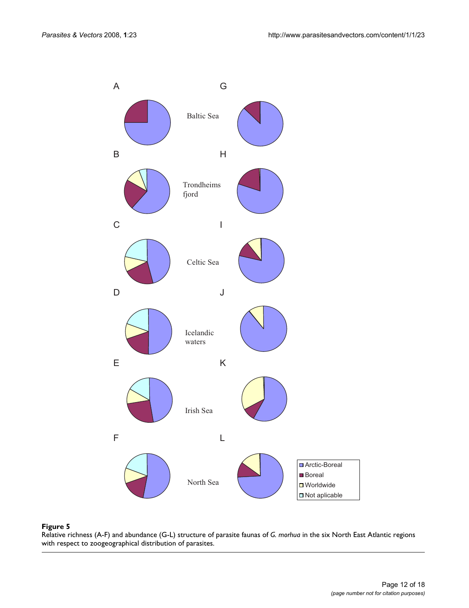

#### with respect to zoogeographical distribution of parasites **Figure 5** Relative richness (A-F) and abundance (G-L) structure of parasite faunas of *G. morhua* in the six North East Atlantic regions

Relative richness (A-F) and abundance (G-L) structure of parasite faunas of *G. morhua* in the six North East Atlantic regions with respect to zoogeographical distribution of parasites.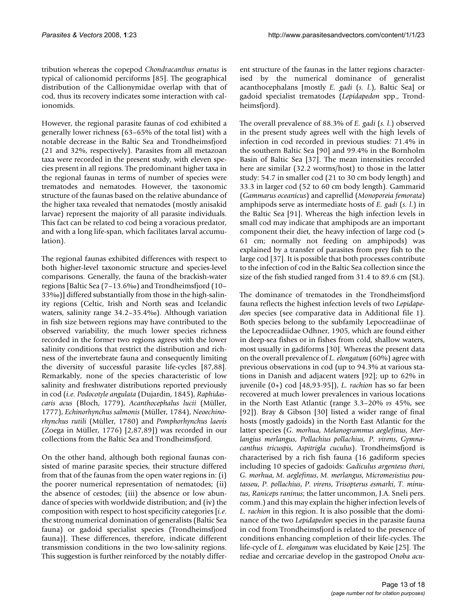tribution whereas the copepod *Chondracanthus ornatus* is typical of calionomid perciforms [85]. The geographical distribution of the Callionymidae overlap with that of cod, thus its recovery indicates some interaction with calionomids.

However, the regional parasite faunas of cod exhibited a generally lower richness (63–65% of the total list) with a notable decrease in the Baltic Sea and Trondheimsfjord (21 and 32%, respectively). Parasites from all metazoan taxa were recorded in the present study, with eleven species present in all regions. The predominant higher taxa in the regional faunas in terms of number of species were trematodes and nematodes. However, the taxonomic structure of the faunas based on the relative abundance of the higher taxa revealed that nematodes (mostly anisakid larvae) represent the majority of all parasite individuals. This fact can be related to cod being a voracious predator, and with a long life-span, which facilitates larval accumulation).

The regional faunas exhibited differences with respect to both higher-level taxonomic structure and species-level comparisons. Generally, the fauna of the brackish-water regions [Baltic Sea (7–13.6‰) and Trondheimsfjord (10– 33‰)] differed substantially from those in the high-salinity regions (Celtic, Irish and North seas and Icelandic waters, salinity range 34.2–35.4‰). Although variation in fish size between regions may have contributed to the observed variability, the much lower species richness recorded in the former two regions agrees with the lower salinity conditions that restrict the distribution and richness of the invertebrate fauna and consequently limiting the diversity of successful parasite life-cycles [87,88]. Remarkably, none of the species characteristic of low salinity and freshwater distributions reported previously in cod (*i.e. Podocotyle angulata* (Dujardin, 1845), *Raphidascaris acus* (Bloch, 1779), *Acanthocephalus lucii* (Müller, 1777), *Echinorhynchus salmonis* (Müller, 1784), *Neoechinorhynchus rutili* (Müller, 1780) and *Pomphorhynchus laevis* (Zoega in Müller, 1776) [2,87,89]) was recorded in our collections from the Baltic Sea and Trondheimsfjord.

On the other hand, although both regional faunas consisted of marine parasite species, their structure differed from that of the faunas from the open water regions in: (i) the poorer numerical representation of nematodes; (ii) the absence of cestodes; (iii) the absence or low abundance of species with worldwide distribution; and (iv) the composition with respect to host specificity categories [*i.e*. the strong numerical domination of generalists (Baltic Sea fauna) or gadoid specialist species (Trondheimsfjord fauna)]. These differences, therefore, indicate different transmission conditions in the two low-salinity regions. This suggestion is further reinforced by the notably different structure of the faunas in the latter regions characterised by the numerical dominance of generalist acanthocephalans [mostly *E. gadi* (*s. l*.), Baltic Sea] or gadoid specialist trematodes (*Lepidapedon* spp., Trondheimsfjord).

The overall prevalence of 88.3% of *E. gadi* (*s. l*.) observed in the present study agrees well with the high levels of infection in cod recorded in previous studies: 71.4% in the southern Baltic Sea [90] and 99.4% in the Bornholm Basin of Baltic Sea [37]. The mean intensities recorded here are similar (32.2 worms/host) to those in the latter study: 54.7 in smaller cod (21 to 30 cm body length) and 33.3 in larger cod (52 to 60 cm body length). Gammarid (*Gammarus oceanicus*) and caprellid (*Monoporeia femorata*) amphipods serve as intermediate hosts of *E. gadi* (*s. l*.) in the Baltic Sea [91]. Whereas the high infection levels in small cod may indicate that amphipods are an important component their diet, the heavy infection of large cod (> 61 cm; normally not feeding on amphipods) was explained by a transfer of parasites from prey fish to the large cod [37]. It is possible that both processes contribute to the infection of cod in the Baltic Sea collection since the size of the fish studied ranged from 31.4 to 89.6 cm (SL).

The dominance of trematodes in the Trondheimsfjord fauna reflects the highest infection levels of two *Lepidapedon* species (see comparative data in Additional file 1). Both species belong to the subfamily Lepocreadiinae of the Lepocreadiidae Odhner, 1905, which are found either in deep-sea fishes or in fishes from cold, shallow waters, most usually in gadiforms [30]. Whereas the present data on the overall prevalence of *L. elongatum* (60%) agree with previous observations in cod (up to 94.3% at various stations in Danish and adjacent waters [92]; up to 62% in juvenile (0+) cod [48,93-95]), *L. rachion* has so far been recovered at much lower prevalences in various locations in the North East Atlantic (range 3.3–20% *vs* 45%, see [92]). Bray & Gibson [30] listed a wider range of final hosts (mostly gadoids) in the North East Atlantic for the latter species (*G. morhua, Melanogrammus aeglefinus, Merlangius merlangus, Pollachius pollachius, P. virens*, *Gymnacanthus tricuspis*, *Aspitrigla cuculus*). Trondheimsfjord is characterised by a rich fish fauna (16 gadiform species including 10 species of gadoids: *Gadiculus argenteus thori*, *G. morhua*, *M. aeglefinus*, *M. merlangus*, *Micromesistius poutassou*, *P. pollachius*, *P. virens*, *Trisopterus esmarki*, *T. minutus*, *Raniceps raninus*; the latter uncommon, J.A. Sneli pers. comm.) and this may explain the higher infection levels of *L. rachion* in this region. It is also possible that the dominance of the two *Lepidapedon* species in the parasite fauna in cod from Trondheimsfjord is related to the presence of conditions enhancing completion of their life-cycles. The life-cycle of *L. elongatum* was elucidated by Køie [25]. The rediae and cercariae develop in the gastropod *Onoba acu-*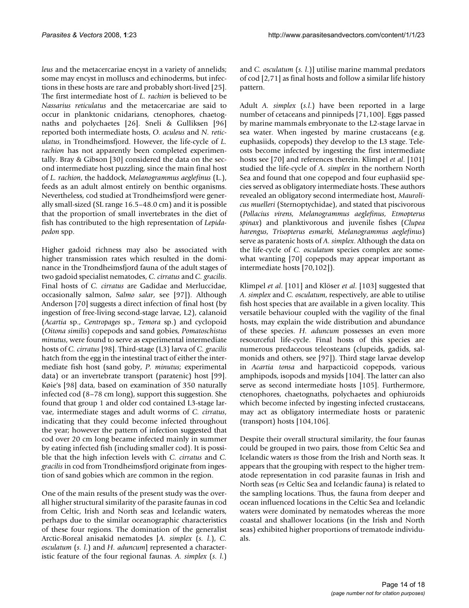*leus* and the metacercariae encyst in a variety of annelids; some may encyst in molluscs and echinoderms, but infections in these hosts are rare and probably short-lived [25]. The first intermediate host of *L. rachion* is believed to be *Nassarius reticulatus* and the metacercariae are said to occur in planktonic cnidarians, ctenophores, chaetognaths and polychaetes [26]. Sneli & Gulliksen [96] reported both intermediate hosts, *O. aculeus* and *N. reticulatus*, in Trondheimsfjord. However, the life-cycle of *L. rachion* has not apparently been completed experimentally. Bray & Gibson [30] considered the data on the second intermediate host puzzling, since the main final host of *L. rachion*, the haddock, *Melanogrammus aeglefinus* (L.), feeds as an adult almost entirely on benthic organisms. Nevertheless, cod studied at Trondheimsfjord were generally small-sized (SL range 16.5–48.0 cm) and it is possible that the proportion of small invertebrates in the diet of fish has contributed to the high representation of *Lepidapedon* spp.

Higher gadoid richness may also be associated with higher transmission rates which resulted in the dominance in the Trondheimsfjord fauna of the adult stages of two gadoid specialist nematodes, *C. cirratus* and *C. gracilis*. Final hosts of *C. cirratus* are Gadidae and Merluccidae, occasionally salmon, *Salmo salar*, see [97]). Although Anderson [70] suggests a direct infection of final host (by ingestion of free-living second-stage larvae, L2), calanoid (*Acartia* sp., *Centropages* sp., *Temora* sp.) and cyclopoid (*Oitona similis*) copepods and sand gobies, *Pomatoschistus minutus*, were found to serve as experimental intermediate hosts of *C. cirratus* [98]. Third-stage (L3) larva of *C. gracilis* hatch from the egg in the intestinal tract of either the intermediate fish host (sand goby, *P. minutus*; experimental data) or an invertebrate transport (paratenic) host [99]. Køie's [98] data, based on examination of 350 naturally infected cod (8–78 cm long), support this suggestion. She found that group 1 and older cod contained L3-stage larvae, intermediate stages and adult worms of *C. cirratus*, indicating that they could become infected throughout the year; however the pattern of infection suggested that cod over 20 cm long became infected mainly in summer by eating infected fish (including smaller cod). It is possible that the high infection levels with *C. cirratus* and *C. gracilis* in cod from Trondheimsfjord originate from ingestion of sand gobies which are common in the region.

One of the main results of the present study was the overall higher structural similarity of the parasite faunas in cod from Celtic, Irish and North seas and Icelandic waters, perhaps due to the similar oceanographic characteristics of these four regions. The domination of the generalist Arctic-Boreal anisakid nematodes [*A. simplex* (*s. l*.), *C. osculatum* (*s. l*.) and *H. aduncum*] represented a characteristic feature of the four regional faunas. *A. simplex* (*s. l*.)

and *C. osculatum* (*s. l*.)] utilise marine mammal predators of cod [2,71] as final hosts and follow a similar life history pattern.

Adult *A. simplex* (*s.l*.) have been reported in a large number of cetaceans and pinnipeds [71,100]. Eggs passed by marine mammals embryonate to the L2-stage larvae in sea water. When ingested by marine crustaceans (e.g. euphasiids, copepods) they develop to the L3 stage. Teleosts become infected by ingesting the first intermediate hosts see [70] and references therein. Klimpel *et al*. [101] studied the life-cycle of *A. simplex* in the northern North Sea and found that one copepod and four euphasiid species served as obligatory intermediate hosts. These authors revealed an obligatory second intermediate host, *Maurolicus muelleri* (Sternoptychidae), and stated that piscivorous (*Pollacius virens, Melanogrammus aeglefinus, Etmopterus spinax*) and planktivorous and juvenile fishes (*Clupea harengus, Trisopterus esmarki, Melanogrammus aeglefinus*) serve as paratenic hosts of *A. simplex*. Although the data on the life-cycle of *C. osculatum* species complex are somewhat wanting [70] copepods may appear important as intermediate hosts [70,102]).

Klimpel *et al*. [101] and Klöser *et al*. [103] suggested that *A. simplex* and *C. osculatum*, respectively, are able to utilise fish host species that are available in a given locality. This versatile behaviour coupled with the vagility of the final hosts, may explain the wide distribution and abundance of these species. *H. aduncum* possesses an even more resourceful life-cycle. Final hosts of this species are numerous predaceous teleosteans (clupeids, gadids, salmonids and others, see [97]). Third stage larvae develop in *Acartia tonsa* and harpacticoid copepods, various amphipods, isopods and mysids [104]. The latter can also serve as second intermediate hosts [105]. Furthermore, ctenophores, chaetognaths, polychaetes and ophiuroids which become infected by ingesting infected crustaceans, may act as obligatory intermediate hosts or paratenic (transport) hosts [104,106].

Despite their overall structural similarity, the four faunas could be grouped in two pairs, those from Celtic Sea and Icelandic waters *vs* those from the Irish and North seas. It appears that the grouping with respect to the higher trematode representation in cod parasite faunas in Irish and North seas (*vs* Celtic Sea and Icelandic fauna) is related to the sampling locations. Thus, the fauna from deeper and ocean influenced locations in the Celtic Sea and Icelandic waters were dominated by nematodes whereas the more coastal and shallower locations (in the Irish and North seas) exhibited higher proportions of trematode individuals.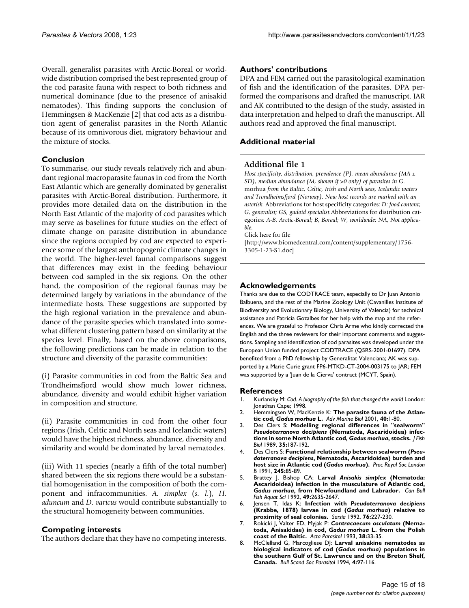Overall, generalist parasites with Arctic-Boreal or worldwide distribution comprised the best represented group of the cod parasite fauna with respect to both richness and numerical dominance (due to the presence of anisakid nematodes). This finding supports the conclusion of Hemmingsen & MacKenzie [2] that cod acts as a distribution agent of generalist parasites in the North Atlantic because of its omnivorous diet, migratory behaviour and the mixture of stocks.

# **Conclusion**

To summarise, our study reveals relatively rich and abundant regional macroparasite faunas in cod from the North East Atlantic which are generally dominated by generalist parasites with Arctic-Boreal distribution. Furthermore, it provides more detailed data on the distribution in the North East Atlantic of the majority of cod parasites which may serve as baselines for future studies on the effect of climate change on parasite distribution in abundance since the regions occupied by cod are expected to experience some of the largest anthropogenic climate changes in the world. The higher-level faunal comparisons suggest that differences may exist in the feeding behaviour between cod sampled in the six regions. On the other hand, the composition of the regional faunas may be determined largely by variations in the abundance of the intermediate hosts. These suggestions are supported by the high regional variation in the prevalence and abundance of the parasite species which translated into somewhat different clustering pattern based on similarity at the species level. Finally, based on the above comparisons, the following predictions can be made in relation to the structure and diversity of the parasite communities:

(i) Parasite communities in cod from the Baltic Sea and Trondheimsfjord would show much lower richness, abundance, diversity and would exhibit higher variation in composition and structure.

(ii) Parasite communities in cod from the other four regions (Irish, Celtic and North seas and Icelandic waters) would have the highest richness, abundance, diversity and similarity and would be dominated by larval nematodes.

(iii) With 11 species (nearly a fifth of the total number) shared between the six regions there would be a substantial homogenisation in the composition of both the component and infracommunities. *A. simplex* (*s. l*.), *H. aduncum* and *D. varicus* would contribute substantially to the structural homogeneity between communities.

#### **Competing interests**

The authors declare that they have no competing interests.

#### **Authors' contributions**

DPA and FEM carried out the parasitological examination of fish and the identification of the parasites. DPA performed the comparisons and drafted the manuscript. JAR and AK contributed to the design of the study, assisted in data interpretation and helped to draft the manuscript. All authors read and approved the final manuscript.

# **Additional material**

#### **Additional file 1**

*Host specificity, distribution, prevalence (P), mean abundance (MA ± SD), median abundance (M, shown if >0 only) of parasites in* G. morhua *from the Baltic, Celtic, Irish and North seas, Icelandic waters and Trondheimsfjord (Norway). New host records are marked with an asterisk.* Abbreviations for host specificity categories*: D: food content; G, generalist; GS, gadoid specialist.*Abbreviations for distribution categories*: A-B, Arctic-Boreal; B, Boreal; W, worldwide; NA, Not applicable.*

Click here for file

[http://www.biomedcentral.com/content/supplementary/1756- 3305-1-23-S1.doc]

#### **Acknowledgements**

Thanks are due to the CODTRACE team, especially to Dr Juan Antonio Balbuena, and the rest of the Marine Zoology Unit (Cavanilles Institute of Biodiversity and Evolutionary Biology, University of Valencia) for technical assistance and Patricia Gozalbes for her help with the map and the references. We are grateful to Professor Chris Arme who kindly corrected the English and the three reviewers for their important comments and suggestions. Sampling and identification of cod parasites was developed under the European Union funded project CODTRACE (Q5RS-2001-01697). DPA benefited from a PhD fellowship by Generalitat Valenciana; AK was supported by a Marie Curie grant FP6-MTKD-CT-2004-003175 to JAR; FEM was supported by a 'Juan de la Cierva' contract (MCYT, Spain).

#### **References**

- 1. Kurlansky M: *Cod. A biography of the fish that changed the world* London: Jonathan Cape; 1998.
- 2. Hemmingsen W, MacKenzie K: **The parasite fauna of the Atlantic cod,** *Gadus morhua* **L.** *Adv Marine Biol* 2001, **40:**1-80.
- 3. Des Clers S: **Modelling regional differences in "sealworm"** *Pseudoterranova decipiens* **(Nematoda, Ascaridoidea) infections in some North Atlantic cod,** *Gadus morhua***, stocks.** *J Fish Biol* 1989, **35:**187-192.
- 4. Des Clers S: **Functional relationship between sealworm (***Pseudoterranova decipiens***, Nematoda, Ascaridoidea) burden and host size in Atlantic cod (***Gadus morhua***).** *Proc Royal Soc London B* 1991, **245:**85-89.
- 5. Brattey J, Bishop CA: **Larval** *Anisakis simplex* **(Nematoda: Ascaridoidea) infection in the musculature of Atlantic cod,** *Gadus morhua***, from Newfoundland and Labrador.** *Can Bull Fish Aquat Sci* 1992, **49:**2635-2647.
- 6. Jensen T, Idas K: **Infection with** *Pseudoterranova decipiens* **(Krabbe, 1878) larvae in cod (***Gadus morhua***) relative to proximity of seal colonies.** *Sarsia* 1992, **76:**227-230.
- 7. Rokicki J, Valter ED, Myjak P: *Contracaecum osculatum* **(Nematoda, Anisakidae) in cod,** *Gadus morhua* **L. from the Polish coast of the Baltic.** *Acta Parasitol* 1993, **38:**33-35.
- 8. McClelland G, Marcogliese DJ: **Larval anisakine nematodes as biological indicators of cod (***Gadus morhua)* **populations in the southern Gulf of St. Lawrence and on the Breton Shelf, Canada.** *Bull Scand Soc Parasitol* 1994, **4:**97-116.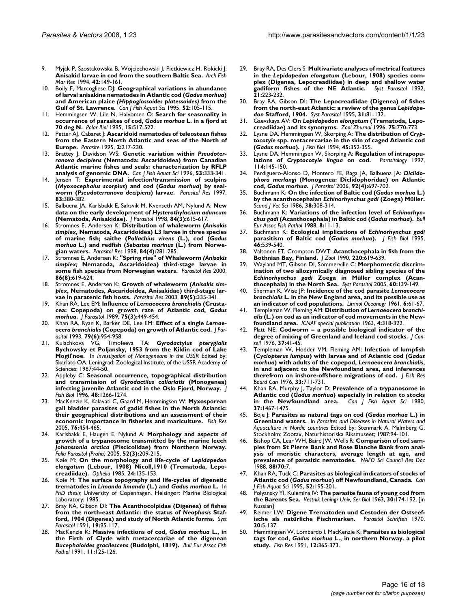- 9. Myjak P, Szostakowska B, Wojciechowski J, Pietkiewicz H, Rokicki J: **Anisakid larvae in cod from the southern Baltic Sea.** *Arch Fish Mar Res* 1994, **42:**149-161.
- 10. Boily F, Marcogliese DJ: **Geographical variations in abundance of larval anisakine nematodes in Atlantic cod (***Gadus morhua***) and American plaice** *(Hippoglossoides platessoides)* **from the Gulf of St. Lawrence.** *Can J Fish Aquat Sci* 1995, **52:**105-115.
- 11. Hemmingsen W, Lile N, Halvorsen O: **Search for seasonality in occurrence of parasites of cod,** *Gadus morhua* **L. in a fjord at 70 deg N.** *Polar Biol* 1995, **15:**517-522.
- 12. Petter AJ, Cabaret J: **Ascaridoid nematodes of teleostean fishes from the Eastern North Atlantic and seas of the North of Europe.** *Parasite* 1995, **2:**217-230.
- 13. Brattey J, Davidson WS: **Genetic variation within** *Pseudoterranova decipiens* **(Nematoda: Ascaridoidea) from Canadian Atlantic marine fishes and seals: characterization by RFLP analysis of genomic DNA.** *Can J Fish Aquat Sci* 1996, **53:**333-341.
- 14. Jensen T: **Experimental infection/transmission of sculpins (***Myoxocephalus scorpius***) and cod (***Gadus morhua***) by sealworm (***Pseudoterranova decipiens***) larvae.** *Parasitol Res* 1997, **83:**380-382.
- 15. Balbuena JA, Karlsbakk E, Saksvik M, Kvenseth AM, Nylund A: **New data on the early development of** *Hysterothylacium aduncum* **(Nematoda, Anisakidae).** *J Parasitol* 1998, **84(3):**615-617.
- 16. Stromnes E, Andersen K: **Distribution of whaleworm (***Anisakis simplex***, Nematoda, Ascaridoidea) L3 larvae in three species of marine fish; saithe (***Pollachius virens* **(L.), cod (***Gadus morhua* **L.) and redfish (***Sebastes marinus* **(L.) from Norwegian waters.** *Parasitol Res* 1998, **84(4):**281-285.
- 17. Stromnes E, Andersen K: **"Spring rise" of Whaleworm** *(Anisakis simplex;* **Nematoda, Ascaridoidea) third-stage larvae in some fish species from Norwegian waters.** *Parasitol Res* 2000, **86(8):**619-624.
- 18. Stromnes E, Andersen K: **Growth of whaleworm (***Anisakis simplex***, Nematodes, Ascaridoidea, Anisakidae) third-stage larvae in paratenic fish hosts.** *Parasitol Res* 2003, **89(5):**335-341.
- 19. Khan RA, Lee EM: **Influence of** *Lernaeocera branchialis* **(Crustacea: Copepoda) on growth rate of Atlantic cod,** *Gadus morhua***.** *J Parasitol* 1989, **75(3):**449-454.
- 20. Khan RA, Ryan K, Barker DE, Lee EM: **Effect of a single** *Lernaeocera branchialis* **(Copepoda) on growth of Atlantic cod.** *J Parasitol* 1993, **79(6):**954-958.
- 21. Kulachkova VG, Timofeeva TA: *Gyrodactylus pterygialis* **Bychowsky et Poljansky, 1953 from the Kildin cod of Lake Mogil'noe.** In *Investigation of Monogeneans in the USSR* Edited by: Skarlato OA. Leningrad: Zoological Institute, of the USSR Academy of Sciences; 1987:44-50.
- 22. Appleby C: **Seasonal occurrence, topographical distribution and transmission of** *Gyrodactilus callariatis* **(Monogenea) infecting juvenile Atlantic cod in the Oslo Fjord, Norway.** *J Fish Biol* 1996, **48:**1266-1274.
- 23. MacKenzie K, Kalavati C, Gaard M, Hemmingsen W: **Myxosporean gall bladder parasites of gadid fishes in the North Atlantic: their geographical distributions and an assessment of their economic importance in fisheries and mariculture.** *Fish Res* 2005, **76:**454-465.
- 24. Karlsbakk E, Haugen E, Nylund A: **Morphology and aspects of growth of a trypanosome transmitted by the marine leech** *Johanssonia arctica* **(Piscicolidae) from Northern Norway.** *Folia Parasitol (Praha)* 2005, **52(3):**209-215.
- 25. Køie M: **On the morphology and life-cycle of** *Lepidapedon elongatum* **(Lebour, 1908) Nicoll,1910 (Trematoda, Lepocreadiidae).** *Ophelia* 1985, **24:**135-153.
- 26. Køie M: **The surface topography and life-cycles of digenetic trematodes in** *Limanda limanda* **(L.) and** *Gadus morhua* **L.** In *PhD thesis* University of Copenhagen. Helsingør: Marine Biological Laboratory; 1985.
- 27. Bray RA, Gibson DI: **The Acanthocolpidae (Digenea) of fishes from the north-east Atlantic: the status of** *Neophasis* **Stafford, 1904 (Digenea) and study of North Atlantic forms.** *Syst Parasitol* 1991, **19:**95-117.
- 28. MacKenzie K: **Massive infections of cod,** *Gadus morhua* **L., in the Firth of Clyde with metacercariae of the digenean** *Bucephaloides gracilescens* **(Rudolphi, 1819).** *Bull Eur Assoc Fish Pathol* 1991, **11:**125-126.
- 29. Bray RA, Des Clers S: **Multivariate analyses of metrical features in the** *Lepidapedon elongatum* **(Lebour, 1908) species complex (Digenea, Lepocreadiidae) in deep and shallow water** gadiform fishes of the NE Atlantic. **21:**223-232.
- 30. Bray RA, Gibson DI: **The Lepocreadiidae (Digenea) of fishes from the north-east Atlantic: a review of the genus** *Lepidapedon* **Stafford, 1904.** *Syst Parasitol* 1995, **31:**81-132.
- 31. Gaevskaya AV: **On** *Lepidapedon elongatum* **(Trematoda, Lepocreadiidae) and its synonyms.** *Zool Zhurnal* 1996, **75:**770-773.
- 32. Lysne DA, Hemmingsen W, Skorping A: **The distribution of** *Cryptocotyle* **spp. metacercariae in the skin of caged Atlantic cod (***Gadus morhua***).** *J Fish Biol* 1994, **45:**352-355.
- Lysne DA, Hemmingsen W, Skorping A: Regulation of intrapopu**lations of** *Cryptocotyle lingua* **on cod.** *Parasitology* 1997, **114:**145-150.
- 34. Perdiguero-Alonso D, Montero FE, Raga JA, Balbuena JA: *Diclidophora merlangi* **(Monogenea: Diclidophoridae) on Atlantic cod,** *Gadus morhua***.** *J Parasitol* 2006, **92(4):**697-702.
- 35. Buchmann K: **On the infection of Baltic cod (***Gadus morhua* **L.) by the acanthocephalan** *Echinorhynchus gadi* **(Zoega) Müller.** *Scand J Vet Sci* 1986, **38:**308-314.
- 36. Buchmann K: **Variations of the infection level of** *Echinorhynchus gadi* **(Acanthocephala) in Baltic cod (***Gadus morhua***).** *Bull Eur Assoc Fish Pathol* 1988, **8:**11-13.
- 37. Buchmann K: **Ecological implications of** *Echinorhynchus gadi* **parasitism of Baltic cod (***Gadus morhua***).** *J Fish Biol* 1995, **46:**539-540.
- 38. Valtonen ET, Crompton DWT: **Acanthocephala in fish from the Bothnian Bay, Finland.** *J Zool* 1990, **220:**619-639.
- 39. Wayland MT, Gibson DI, Sommerville C: **Morphometric discrimination of two allozymically diagnosed sibling species of the** *Echinorhynchus gadi* **Zoega in Müller complex (Acanthocephala) in the North Sea.** *Syst Parasitol* 2005, **60:**139-149.
- 40. Sherman K, Wise JP: **Incidence of the cod parasite** *Lernaeocera branchialis* **L. in the New England area, and its possible use as an indicator of cod populations.** *Limnol Oceanogr* 1961, **6:**61-67.
- 41. Templeman W, Fleming AM: **Distribution of** *Lernaeocera branchialis* **(L.) on cod as an indicator of cod movements in the Newfoundland area.** *ICNAF special publication* 1963, **4:**318-322.
- 42. Platt NE: **Codworm a possible biological indicator of the degree of mixing of Greenland and Iceland cod stocks.** *J Conseil* 1976, **37:**41-45.
- 43. Templeman W, Hodder VM, Fleming AM: **Infection of lumpfish (***Cyclopterus lumpus***) with larvae and of Atlantic cod (***Gadus morhua***) with adults of the copepod,** *Lernaeocera branchialis***, in and adjacent to the Newfoundland area, and inferences therefrom on inshore-offshore migrations of cod.** *J Fish Res Board Can* 1976, **33:**711-731.
- 44. Khan RA, Murphy J, Taylor D: **Prevalence of a trypanosome in Atlantic cod (***Gadus morhua***) especially in relation to stocks** in the Newfoundland area. **37:**1467-1475.
- 45. Boje J: **Parasites as natural tags on cod (***Gadus morhua* **L.) in Greenland waters.** In *Parasites and Diseases in Natural Waters and Aquaculture in Nordic countries* Edited by: Stenmark A, Malmberg G. Stockholm: Zootax, Naturhistoriska Riksmuseet; 1987:94-101.
- Bishop CA, Lear WH, Baird JW, Wells R: **Comparison of cod samples from St Pierre Bank and Rose Blanche Bank from analysis of meristic characters, average length at age, and prevalence of parasitic nematodes.** *NAFO Sci Council Res Doc* 1988, **88/70:**7.
- 47. Khan RA, Tuck C: **Parasites as biological indicators of stocks of Atlantic cod (***Gadus morhua***) off Newfoundland, Canada.** *Can J Fish Aquat Sci* 1995, **52:**195-201.
- 48. Polyansky YI, Kulemina IV: **The parasite fauna of young cod from the Barents Sea.** *Vestnik Leningr Univ, Ser Biol* 1963, **30:**174-192. [in Russian]
- 49. Reimer LW: **Digene Trematoden und Cestoden der Ostseefische als natürliche Fischmarken.** *Parasitol Schriften* 1970, **20:**5-137.
- 50. Hemmingsen W, Lombardo I, MacKenzie K: **Parasites as biological tags for cod,** *Gadus morhua* **L., in northern Norway. a pilot study.** *Fish Res* 1991, **12:**365-373.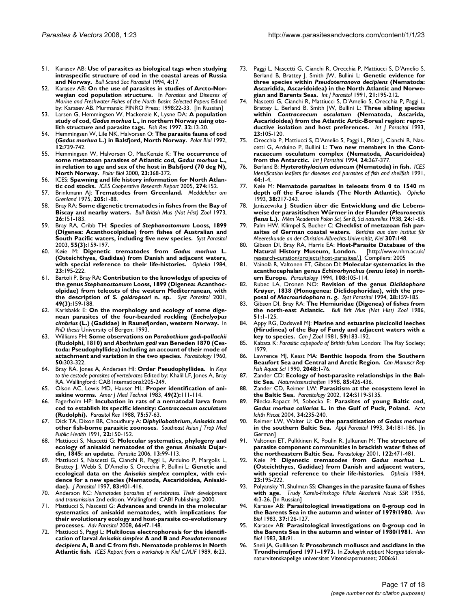- 51. Karasev AB: **Use of parasites as biological tags when studying intraspecific structure of cod in the coastal areas of Russia and Norway.** *Bull Scand Soc Parasitol* 1994, **4:**17.
- 52. Karasev AB: **On the use of parasites in studies of Arcto-Norwegian cod population structure.** In *Parasites and Diseases of Marine and Freshwater Fishes of the North Basin: Selected Papers* Edited by: Karasev AB. Murmansk: PINRO Press; 1998:22-33. [In Russian]
- 53. Larsen G, Hemmingsen W, Mackenzie K, Lysne DA: **A population study of cod,** *Gadus morhua* **L., in northern Norway using otolith structure and parasite tags.** *Fish Res* 1997, **32:**13-20.
- 54. Hemmingsen W, Lile NK, Halvorsen O: **The parasite fauna of cod (***Gadus morhua* **L.) in Balsfjord, North Norway.** *Polar Biol* 1992, **12:**739-742.
- 55. Hemmingsen W, Halvorsen O, MacKenzie K: **The occurrence of some metazoan parasites of Atlantic cod,** *Gadus morhua* **L., in relation to age and sex of the host in Balsfjord (70 deg N), North Norway.** *Polar Biol* 2000, **23:**368-372.
- 56. ICES: **Spawning and life history information for North Atlantic cod stocks.** *ICES Cooperative Research Report* 2005, **274:**152.
- 57. Brinkmann AJ: **Trematodes from Greenland.** *Meddelelser om Grønland* 1975, **205:**1-88.
- 58. Bray RA: **Some digenetic trematodes in fishes from the Bay of Biscay and nearby waters.** *Bull British Mus (Nat Hist) Zool* 1973, **26:**151-183.
- 59. Bray RA, Cribb TH: **Species of** *Stephanostomum* **Looss, 1899 (Digenea: Acanthocolpidae) from fishes of Australian and South Pacific waters, including five new species.** *Syst Parasitol* 2003, **55(3):**159-197.
- 60. Køie M: **Digenetic trematodes from** *Gadus morhua* **L. (Osteichthyes, Gadidae) from Danish and adjacent waters, with special reference to their life-histories.** *Ophelia* 1984, **23:**195-222.
- 61. Bartoli P, Bray RA: **Contribution to the knowledge of species of the genus** *Stephanostomum* **Looss, 1899 (Digenea: Acanthocolpidae) from teleosts of the western Mediterranean, with the description of** *S. gaidropsari* **n. sp.** *Syst Parasitol* 2001, **49(3):**159-188.
- 62. Karlsbakk E: **On the morphology and ecology of some digenean parasites of the four-bearded rockling (***Enchelyopus cimbrius* **(L.) (Gadidae) in Raunefjorden, western Norway.** In *PhD thesis* University of Bergen; 1993.
- 63. Williams PH: **Some observations on** *Parabothium gadi-pollachii* **(Rudolphi, 1810) and** *Abothrium gadi* **van Beneden 1870 (Cestoda: Pseudophyllidea) including an account of their mode of attachment and variation in the two species.** *Parasitology* 1960, **50:**303-322.
- 64. Bray RA, Jones A, Andersen HI: **Order Pseudophyllidea.** In *Keys to the cestode parasites of vertebrates* Edited by: Khalil LF, Jones A, Bray RA. Wallingford: CAB Intemational:205-249.
- 65. Olson AC, Lewis MD, Hauser ML: **Proper identification of anisakine worms.** *Amer J Med Technol* 1983, **49(2):**111-114.
- 66. Fagerholm HP: **Incubation in rats of a nematodal larva from cod to establish its specific identity:** *Contracaecum osculatum* **(Rudolphi).** *Parasitol Res* 1988, **75:**57-63.
- 67. Dick TA, Dixon BR, Choudhury A: *Diphyllobothrium***,** *Anisakis* **and other fish-borne parasitic zoonoses.** *Southeast Asian J Trop Med Public Health* 1991, **22:**150-152.
- 68. Mattiucci S, Nascetti G: **Molecular systematics, phylogeny and ecology of anisakid nematodes of the genus** *Anisakis* **Dujardin, 1845: an update.** *Parasite* 2006, **13:**99-113.
- 69. Mattiucci S, Nascetti G, Cianchi R, Paggi L, Arduino P, Margolis L, Brattey J, Webb S, D'Amelio S, Orecchia P, Bullini L: **Genetic and ecological data on the** *Anisakis simplex* **complex, with evidence for a new species (Nematoda, Ascaridoidea, Anisakidae).** *J Parasitol* 1997, **83:**401-416.
- 70. Anderson RC: *Nematodes parasites of vertebrates. Their development and transmission* 2nd edition. Wallingford: CABI Publishing; 2000.
- 71. Mattiucci S, Nascetti G: **Advances and trends in the molecular systematics of anisakid nematodes, with implications for their evolutionary ecology and host-parasite co-evolutionary processes.** *Adv Parasitol* 2008, **66:**47-148.
- 72. Mattiucci S, Paggi L: **Multilocus electrophoresis for the identification of larval** *Anisakis simplex* **A and B and** *Pseudoterranova decipiens* **A, B and C from fish. Nematode problems in North Atlantic fish.** *ICES Report from a workshop in Kiel C.M./F* 1989, **6:**23.
- 73. Paggi L, Nascetti G, Cianchi R, Orecchia P, Mattiucci S, D'Amelio S, Berland B, Brattey J, Smith JW, Bullini L: **Genetic evidence for three species within** *Pseudoterranova decipiens* **(Nematoda: Ascaridida, Ascaridoidea) in the North Atlantic and Norwegian and Barents Seas.** *Int J Parasitol* 1991, **21:**195-212.
- 74. Nascetti G, Cianchi R, Mattiucci S, D'Amelio S, Orecchia P, Paggi L, Brattey L, Berland B, Smith JW, Bullini L: **Three sibling species within** *Contracaecum osculatum* **(Nematoda, Ascarida, Ascaridoidea) from the Atlantic Artic-Boreal region: reproductive isolation and host preferences.** *Int J Parasitol* 1993, **23:**105-120.
- 75. Orecchia P, Mattiucci S, D'Amelio S, Paggi L, Plötz J, Cianchi R, Nascetti G, Arduino P, Bullini L: **Two new members in the Contracaecum osculatum complex (Nematoda, Ascaridoidea) from the Antarctic.** *Int J Parasitol* 1994, **24:**367-377.
- 76. Berland B: *Hysterothylacium aduncum* **(Nematoda) in fish.** *ICES Identification leaflets for diseases and parasites of fish and shellfish* 1991, **44:**1-4.
- 77. Køie M: **Nematode parasites in teleosts from 0 to 1540 m depth off the Faroe islands (The North Atlantic).** *Ophelia* 1993, **38:**217-243.
- 78. Janiszewska J: **Studien über die Entwicklung und die Lebensweise der parasitischen Würmer in der Flunder (***Pleuronectis flesus* **L.).** *Mém 'Academie Polon Sci, Ser B, Sci naturelles* 1938, **24:**1-68.
- 79. Palm HW, Klimpel S, Bucher C: **Checklist of metazoan fish parasites of German coastal waters.** *Berichte aus dem institut für Meereskunde an der Christian-Albrechts-Universität, Kiel* **307:**148.
- Gibson DI, Bray RA, Harris EA: Host-Parasite Database of the **Natural History Museum, London.** [http://www.nhm.ac.uk/ research-curation/projects/host-parasites/.]. Compilers: 2005
- 81. Väinolä R, Valtonen ET, Gibson DI: **Molecular systematics in the acanthocephalan genus** *Echinorhynchus* **(***sensu lato***) in northern Europe.** *Parasitology* 1994, **108:**105-114.
- 82. Rubec LA, Dronen NO: **Revision of the genus** *Diclidophora* **Krøyer, 1838 (Monogenea: Diclidophoridae), with the proposal of** *Macrouridophora* **n. g.** *Syst Parasitol* 1994, **28:**159-185.
- 83. Gibson DI, Bray RA: **The Hemiuridae (Digenea) of fishes from the north-east Atlantic.** *Bull Brit Mus (Nat Hist) Zool* 1986, **51:**1-125.
- 84. Appy RG, Dadswell MJ: **Marine and estuarine piscicolid leeches (Hirudinea) of the Bay of Fundy and adjacent waters with a key to species.** *Can J Zool* 1981, **59:**183-192.
- 85. Kabata K: *Parasitic copepoda of British fishes* London: The Ray Society; 1979.
- Lawrence MJ, Keast MA: Benthic Isopoda from the Southern **Beaufort Sea and Central and Arctic Region.** *Can Manuscr Rep Fish Aquat Sci* 1990, **2048:**1-76.
- 87. Zander CD: **Ecology of host-parasite relationships in the Baltic Sea.** *Naturwissenschaften* 1998, **85:**426-436.
- 88. Zander CD, Reimer LW: **Parasitism at the ecosystem level in the Baltic Sea.** *Parasitology* 2002, **124:**S119-S135.
- 89. Pilecka-Rapacz M, Sobecka E: **Parasites of young Baltic cod,** *Gadus morhua callarias* **L. in the Gulf of Puck, Poland.** *Acta Ichth Piscat* 2004, **34:**235-240.
- 90. Reimer LW, Walter U: **On the parasitisation of** *Gadus morhua* **in the southern Baltic Sea.** *Appl Parasitol* 1993, **34:**181-186. [In German]
- 91. Valtonen ET, Pulkkinen K, Poulin R, Julkunen M: **The structure of parasite component communities in brackish water fishes of the northeastern Baltic Sea.** *Parasitology* 2001, **122:**471-481.
- 92. Køie M: **Digenetic trematodes from** *Gadus morhua* **L. (Osteichthyes, Gadidae) from Danish and adjacent waters, with special reference to their life-histories.** *Ophelia* 1984, **23:**195-222.
- 93. Polyansky YI, Shulman SS: **Changes in the parasite fauna of fishes with age.** *Trudy Karelo-Finskogo Filiala Akademii Nauk SSR* 1956, **4:**3-26. [In Russian]
- 94. Karasev AB: **Parasitological investigations on 0-group cod in the Barents Sea in the autumn and winter of 1979/1980.** *Ann Biol* 1983, **37:**126-127.
- 95. Karasev AB: **Parasitological investigations on 0-group cod in the Barents Sea in the autumn and winter of 1980/1981.** *Ann Biol* 1983, **38:**91.
- 96. Sneli JA, Gulliksen B: **Prosobranch molluscs and ascidians in the Trondheimsfjord 1971–1973.** In *Zoologisk rapport* Norges teknisknaturvitenskapelige universitet Vitenskapsmuseet; 2006:61.